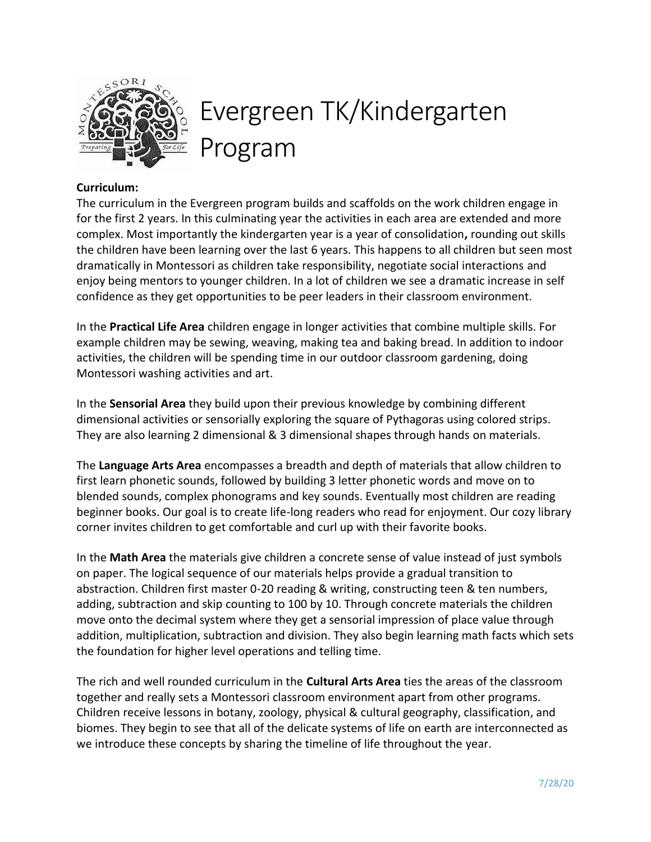

# Evergreen TK/Kindergarten Program

## **Curriculum:**

The curriculum in the Evergreen program builds and scaffolds on the work children engage in for the first 2 years. In this culminating year the activities in each area are extended and more complex. Most importantly the kindergarten year is a year of consolidation**,** rounding out skills the children have been learning over the last 6 years. This happens to all children but seen most dramatically in Montessori as children take responsibility, negotiate social interactions and enjoy being mentors to younger children. In a lot of children we see a dramatic increase in self confidence as they get opportunities to be peer leaders in their classroom environment.

In the **Practical Life Area** children engage in longer activities that combine multiple skills. For example children may be sewing, weaving, making tea and baking bread. In addition to indoor activities, the children will be spending time in our outdoor classroom gardening, doing Montessori washing activities and art.

In the **Sensorial Area** they build upon their previous knowledge by combining different dimensional activities or sensorially exploring the square of Pythagoras using colored strips. They are also learning 2 dimensional & 3 dimensional shapes through hands on materials.

The **Language Arts Area** encompasses a breadth and depth of materials that allow children to first learn phonetic sounds, followed by building 3 letter phonetic words and move on to blended sounds, complex phonograms and key sounds. Eventually most children are reading beginner books. Our goal is to create life-long readers who read for enjoyment. Our cozy library corner invites children to get comfortable and curl up with their favorite books.

In the **Math Area** the materials give children a concrete sense of value instead of just symbols on paper. The logical sequence of our materials helps provide a gradual transition to abstraction. Children first master 0-20 reading & writing, constructing teen & ten numbers, adding, subtraction and skip counting to 100 by 10. Through concrete materials the children move onto the decimal system where they get a sensorial impression of place value through addition, multiplication, subtraction and division. They also begin learning math facts which sets the foundation for higher level operations and telling time.

The rich and well rounded curriculum in the **Cultural Arts Area** ties the areas of the classroom together and really sets a Montessori classroom environment apart from other programs. Children receive lessons in botany, zoology, physical & cultural geography, classification, and biomes. They begin to see that all of the delicate systems of life on earth are interconnected as we introduce these concepts by sharing the timeline of life throughout the year.